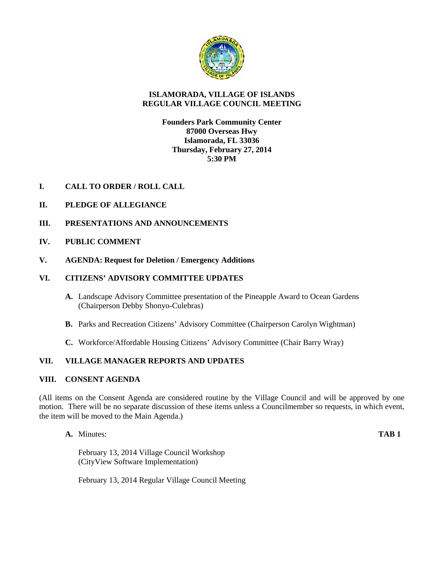

# **ISLAMORADA, VILLAGE OF ISLANDS REGULAR VILLAGE COUNCIL MEETING**

# **Founders Park Community Center 87000 Overseas Hwy Islamorada, FL 33036 Thursday, February 27, 2014 5:30 PM**

- **I. CALL TO ORDER / ROLL CALL**
- **II. PLEDGE OF ALLEGIANCE**
- **III. PRESENTATIONS AND ANNOUNCEMENTS**
- **IV. PUBLIC COMMENT**
- **V. AGENDA: Request for Deletion / Emergency Additions**

# **VI. CITIZENS' ADVISORY COMMITTEE UPDATES**

- **A.** Landscape Advisory Committee presentation of the Pineapple Award to Ocean Gardens (Chairperson Debby Shonyo-Culebras)
- **B.** Parks and Recreation Citizens' Advisory Committee (Chairperson Carolyn Wightman)
- **C.** Workforce/Affordable Housing Citizens' Advisory Committee (Chair Barry Wray)

# **VII. VILLAGE MANAGER REPORTS AND UPDATES**

# **VIII. CONSENT AGENDA**

(All items on the Consent Agenda are considered routine by the Village Council and will be approved by one motion. There will be no separate discussion of these items unless a Councilmember so requests, in which event, the item will be moved to the Main Agenda.)

**A.** Minutes: **TAB 1**

February 13, 2014 Village Council Workshop (CityView Software Implementation)

February 13, 2014 Regular Village Council Meeting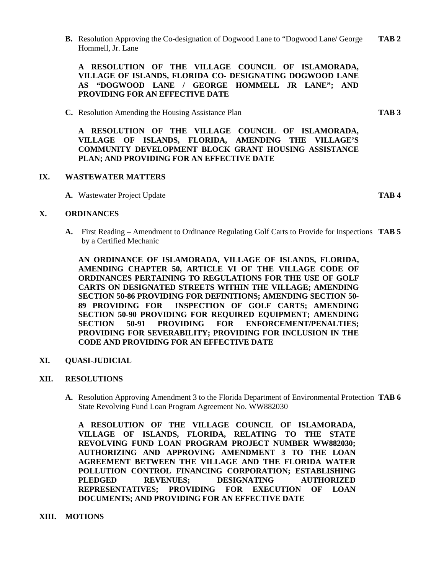**B.** Resolution Approving the Co-designation of Dogwood Lane to "Dogwood Lane/ George **TAB 2** Hommell, Jr. Lane

**A RESOLUTION OF THE VILLAGE COUNCIL OF ISLAMORADA, VILLAGE OF ISLANDS, FLORIDA CO- DESIGNATING DOGWOOD LANE AS "DOGWOOD LANE / GEORGE HOMMELL JR LANE"; AND PROVIDING FOR AN EFFECTIVE DATE**

**C.** Resolution Amending the Housing Assistance Plan **TAB 3**

**A RESOLUTION OF THE VILLAGE COUNCIL OF ISLAMORADA, VILLAGE OF ISLANDS, FLORIDA, AMENDING THE VILLAGE'S COMMUNITY DEVELOPMENT BLOCK GRANT HOUSING ASSISTANCE PLAN; AND PROVIDING FOR AN EFFECTIVE DATE**

## **IX. WASTEWATER MATTERS**

**A.** Wastewater Project Update **TAB 4**

## **X. ORDINANCES**

**A.** First Reading – Amendment to Ordinance Regulating Golf Carts to Provide for Inspections **TAB 5** by a Certified Mechanic

**AN ORDINANCE OF ISLAMORADA, VILLAGE OF ISLANDS, FLORIDA, AMENDING CHAPTER 50, ARTICLE VI OF THE VILLAGE CODE OF ORDINANCES PERTAINING TO REGULATIONS FOR THE USE OF GOLF CARTS ON DESIGNATED STREETS WITHIN THE VILLAGE; AMENDING SECTION 50-86 PROVIDING FOR DEFINITIONS; AMENDING SECTION 50- 89 PROVIDING FOR INSPECTION OF GOLF CARTS; AMENDING SECTION 50-90 PROVIDING FOR REQUIRED EQUIPMENT; AMENDING SECTION 50-91 PROVIDING FOR ENFORCEMENT/PENALTIES; PROVIDING FOR SEVERABILITY; PROVIDING FOR INCLUSION IN THE CODE AND PROVIDING FOR AN EFFECTIVE DATE**

# **XI. QUASI-JUDICIAL**

# **XII. RESOLUTIONS**

**A.** Resolution Approving Amendment 3 to the Florida Department of Environmental Protection **TAB 6** State Revolving Fund Loan Program Agreement No. WW882030

**A RESOLUTION OF THE VILLAGE COUNCIL OF ISLAMORADA, VILLAGE OF ISLANDS, FLORIDA, RELATING TO THE STATE REVOLVING FUND LOAN PROGRAM PROJECT NUMBER WW882030; AUTHORIZING AND APPROVING AMENDMENT 3TO THE LOAN AGREEMENT BETWEEN THE VILLAGE AND THE FLORIDA WATER POLLUTION CONTROL FINANCING CORPORATION; ESTABLISHING PLEDGED REVENUES; DESIGNATING AUTHORIZED REPRESENTATIVES; PROVIDING FOR EXECUTION OF LOAN DOCUMENTS; AND PROVIDING FOR AN EFFECTIVE DATE**

**XIII. MOTIONS**